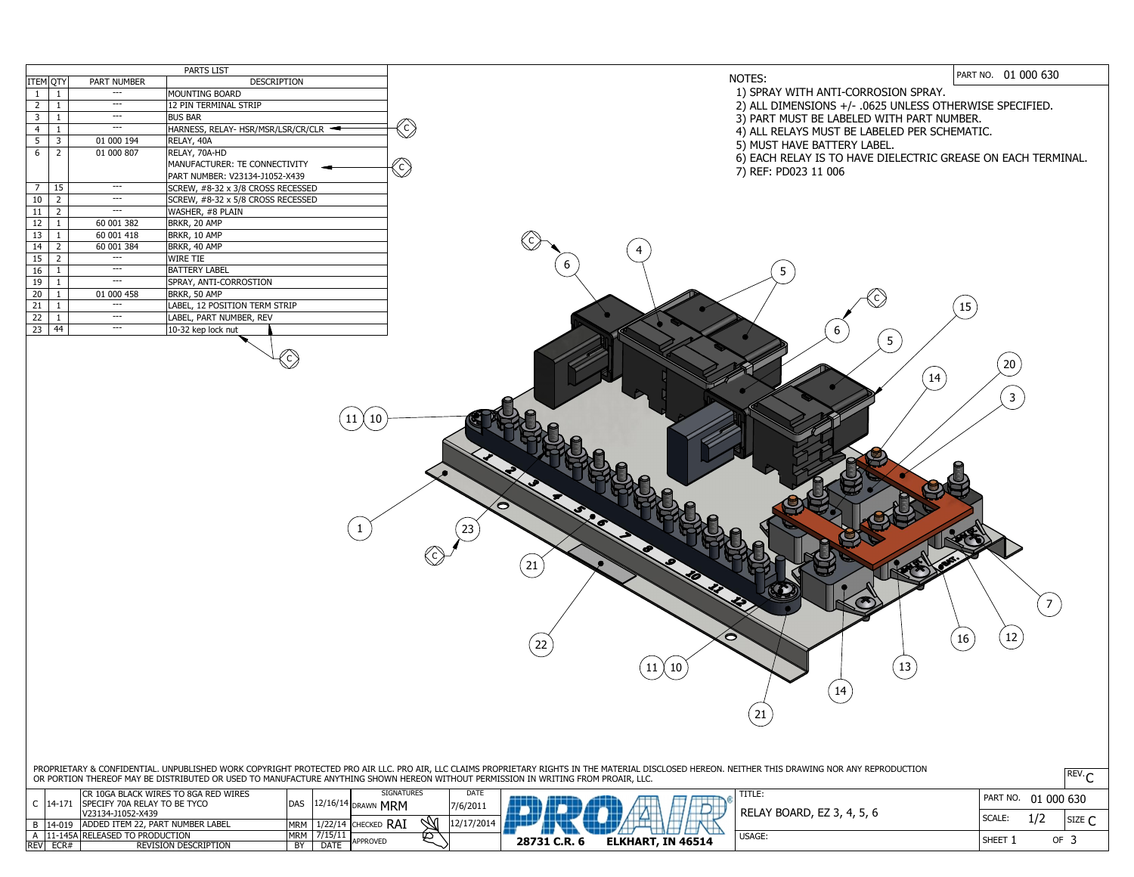PROPRIETARY & CONFIDENTIAL. UNPUBLISHED WORK COPYRIGHT PROTECTED PRO AIR LLC. PRO AIR, LLC CLAIMS PROPRIETARY RIGHTS IN THE MATERIAL DISCLOSED HEREON. NEITHER THIS DRAWING NOR ANY REPRODUCTION OR PORTION THEREOF MAY BE DISTRIBUTED OR USED TO MANUFACTURE ANYTHING SHOWN HEREON WITHOUT PERMISSION IN WRITING FROM PROAIR, LLC.  $\mathbb{C}^{\mathbf{X} \in \mathbf{V} \cdot \mathbf{C}}$ 

PART NO. 01 000 630

| <b>PARTS LIST</b>                                    |            |                |                |  |
|------------------------------------------------------|------------|----------------|----------------|--|
| ITEM QTY<br><b>DESCRIPTION</b><br><b>PART NUMBER</b> |            |                |                |  |
| <b>MOUNTING BOARD</b>                                |            | 1              | $\mathbf{1}$   |  |
| <b>12 PIN TERMINAL STRIP</b>                         |            | $\mathbf 1$    | $\overline{2}$ |  |
| <b>BUS BAR</b>                                       |            | $\mathbf{1}$   | $\overline{3}$ |  |
| HARNESS, RELAY- HSR/MSR/LSR/CR/CLR -                 |            | $\mathbf{1}$   | $\overline{4}$ |  |
| RELAY, 40A                                           | 01 000 194 | 3              | 5              |  |
| RELAY, 70A-HD                                        | 01 000 807 | $\overline{2}$ | 6              |  |
| MANUFACTURER: TE CONNECTIVITY                        |            |                |                |  |
| PART NUMBER: V23134-J1052-X439                       |            |                |                |  |
| SCREW, #8-32 x 3/8 CROSS RECESSED                    | ---        | 15             | $\overline{7}$ |  |
| SCREW, #8-32 x 5/8 CROSS RECESSED                    |            | $\overline{2}$ | 10             |  |
| WASHER, #8 PLAIN                                     |            | $\overline{2}$ | 11             |  |
| BRKR, 20 AMP                                         | 60 001 382 | $\mathbf{1}$   | 12             |  |
| BRKR, 10 AMP                                         | 60 001 418 | $\mathbf{1}$   | 13             |  |
| BRKR, 40 AMP                                         | 60 001 384 | $\overline{2}$ | 14             |  |
| <b>WIRE TIE</b>                                      |            | $\overline{2}$ | 15             |  |
| <b>BATTERY LABEL</b>                                 |            | $\mathbf 1$    | 16             |  |
| SPRAY, ANTI-CORROSTION                               |            | $\mathbf{1}$   | 19             |  |
| BRKR, 50 AMP                                         | 01 000 458 | 1              | 20             |  |
| LABEL, 12 POSITION TERM STRIP                        |            | $\mathbf{1}$   | 21             |  |
| LABEL, PART NUMBER, REV                              |            | $\mathbf{1}$   | 22             |  |
| 10-32 kep lock nut                                   | ---        | 44             | 23             |  |
|                                                      |            |                |                |  |



## NOTES:

| <b>REV</b> | ECR#     | <b>REVISION DESCRIPTION</b>                       | <b>BY</b>  | <b>DATE</b>      | APPROVED            |             | <b>ELKHAI</b><br>28731 C.R. |
|------------|----------|---------------------------------------------------|------------|------------------|---------------------|-------------|-----------------------------|
|            |          | 11-145A RELEASED TO PRODUCTION                    | <b>MRM</b> | 7/15/11          | 匕                   |             |                             |
|            | $14-019$ | ADDED ITEM 22, PART NUMBER LABEL                  | <b>MRM</b> | 1/22/14          | $\cdot$ CHECKED RAI |             |                             |
|            | $14-$    | SPECIFY 70A RELAY TO BE TYCO<br>V23134-J1052-X439 | <b>DAS</b> | $12/16/14$ DRAWN | ∣ MRM               | 7/6/201     |                             |
|            |          | ICR 10GA BLACK WIRES TO 8GA RED WIRES             |            |                  | <b>SIGNATURES</b>   | <b>DATE</b> |                             |

- 1) SPRAY WITH ANTI-CORROSION SPRAY.
- 2) ALL DIMENSIONS +/- .0625 UNLESS OTHERWISE SPECIFIED.
- 3) PART MUST BE LABELED WITH PART NUMBER.
- 4) ALL RELAYS MUST BE LABELED PER SCHEMATIC.
- 5) MUST HAVE BATTERY LABEL.
- 6) EACH RELAY IS TO HAVE DIELECTRIC GREASE ON EACH TERMINAL.
- 7) REF: PD023 11 006

1 21  $\left( 22 \right)$ 6  $\left(\begin{array}{c|c} 11 \end{array}\right)\left(\begin{array}{c} 10 \end{array}\right)$ 23 C

C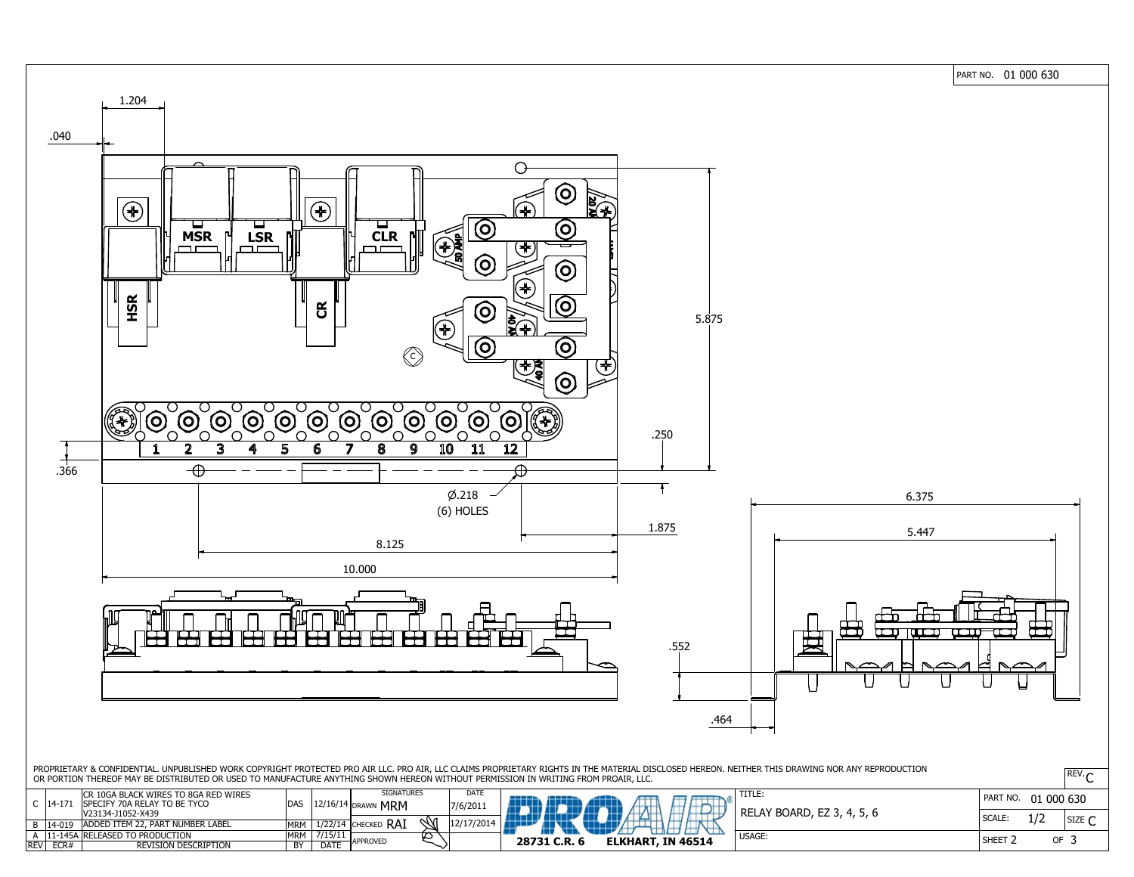PART NO. 01 000 630